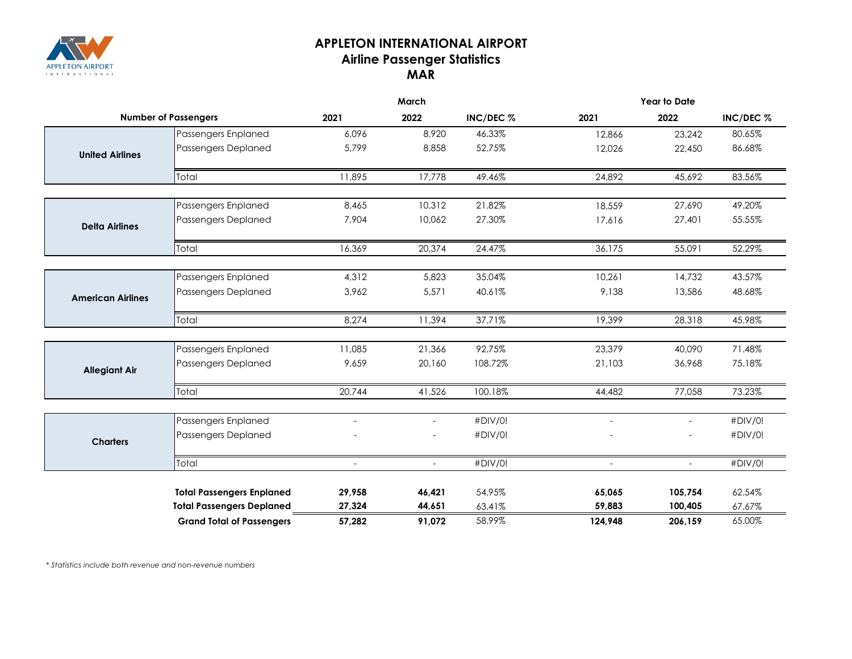

## **APPLETON INTERNATIONAL AIRPORT Airline Passenger Statistics MAR**

|                             |                                  | March                    |                             |           | <b>Year to Date</b>      |         |           |  |
|-----------------------------|----------------------------------|--------------------------|-----------------------------|-----------|--------------------------|---------|-----------|--|
| <b>Number of Passengers</b> |                                  | 2021                     | 2022                        | INC/DEC % | 2021                     | 2022    | INC/DEC % |  |
|                             | Passengers Enplaned              | 6,096                    | 8,920                       | 46.33%    | 12,866                   | 23,242  | 80.65%    |  |
| <b>United Airlines</b>      | <b>Passengers Deplaned</b>       | 5.799                    | 8,858                       | 52.75%    | 12,026                   | 22,450  | 86.68%    |  |
|                             | Total                            | 11,895                   | 17,778                      | 49.46%    | 24,892                   | 45,692  | 83.56%    |  |
|                             | Passengers Enplaned              | 8,465                    | 10,312                      | 21.82%    | 18,559                   | 27,690  | 49.20%    |  |
| <b>Delta Airlines</b>       | Passengers Deplaned              | 7,904                    | 10,062                      | 27.30%    | 17,616                   | 27,401  | 55.55%    |  |
|                             | Total                            | 16,369                   | 20,374                      | 24.47%    | 36,175                   | 55,091  | 52.29%    |  |
|                             | Passengers Enplaned              | 4,312                    | 5,823                       | 35.04%    | 10,261                   | 14,732  | 43.57%    |  |
| <b>American Airlines</b>    | <b>Passengers Deplaned</b>       | 3,962                    | 5,571                       | 40.61%    | 9,138                    | 13,586  | 48.68%    |  |
|                             | Total                            | 8,274                    | 11,394                      | 37.71%    | 19,399                   | 28,318  | 45.98%    |  |
|                             | Passengers Enplaned              | 11,085                   | 21,366                      | 92.75%    | 23,379                   | 40,090  | 71.48%    |  |
| <b>Allegiant Air</b>        | Passengers Deplaned              | 9,659                    | 20,160                      | 108.72%   | 21,103                   | 36,968  | 75.18%    |  |
|                             | Total                            | 20,744                   | 41,526                      | 100.18%   | 44,482                   | 77,058  | 73.23%    |  |
|                             | Passengers Enplaned              | $\overline{\phantom{a}}$ | $\overline{\phantom{a}}$    | #DIV/0!   | $\overline{\phantom{a}}$ | ÷       | #DIV/0!   |  |
| <b>Charters</b>             | Passengers Deplaned              |                          |                             | #DIV/0!   |                          |         | #DIV/0!   |  |
|                             | Total                            | ÷.                       | $\mathcal{L}^{\mathcal{L}}$ | #DIV/0!   |                          | ÷.      | #DIV/0!   |  |
|                             | <b>Total Passengers Enplaned</b> | 29,958                   | 46,421                      | 54.95%    | 65,065                   | 105,754 | 62.54%    |  |
|                             | <b>Total Passengers Deplaned</b> | 27,324                   | 44,651                      | 63.41%    | 59,883                   | 100,405 | 67.67%    |  |
|                             | <b>Grand Total of Passengers</b> | 57,282                   | 91.072                      | 58.99%    | 124.948                  | 206.159 | 65.00%    |  |

*\* Statistics include both revenue and non-revenue numbers*